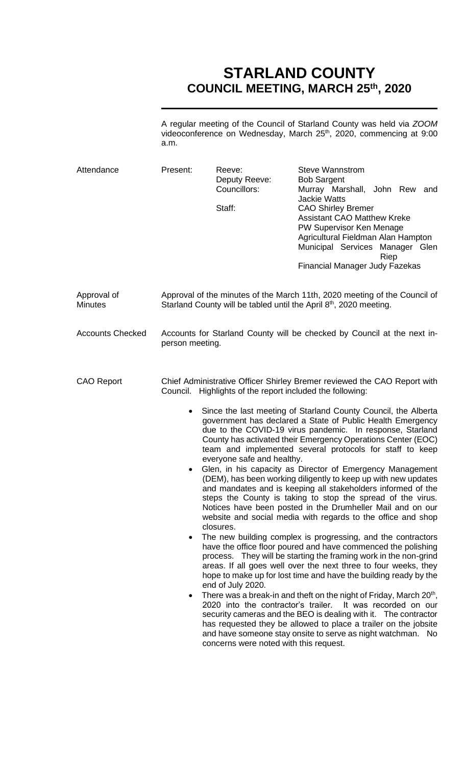## **STARLAND COUNTY COUNCIL MEETING, MARCH 25th, 2020**

A regular meeting of the Council of Starland County was held via *ZOOM* videoconference on Wednesday, March 25<sup>th</sup>, 2020, commencing at 9:00 a.m.

| Attendance              | Present:                                                                                                                                                                                                                                                                                                                                                                                                                                                                                                                                                                                                                                                                                                                                                                                                                                                                                                                                                                                                                                                                                                                                                                                                                                                                                                                                                                                                                                                                                                                                                                                                                                                                                                   | Reeve:<br>Deputy Reeve:<br>Councillors:<br>Staff: | <b>Steve Wannstrom</b><br><b>Bob Sargent</b><br>Murray Marshall, John Rew and<br><b>Jackie Watts</b><br><b>CAO Shirley Bremer</b><br><b>Assistant CAO Matthew Kreke</b><br>PW Supervisor Ken Menage<br>Agricultural Fieldman Alan Hampton<br>Municipal Services Manager Glen<br>Riep<br><b>Financial Manager Judy Fazekas</b> |
|-------------------------|------------------------------------------------------------------------------------------------------------------------------------------------------------------------------------------------------------------------------------------------------------------------------------------------------------------------------------------------------------------------------------------------------------------------------------------------------------------------------------------------------------------------------------------------------------------------------------------------------------------------------------------------------------------------------------------------------------------------------------------------------------------------------------------------------------------------------------------------------------------------------------------------------------------------------------------------------------------------------------------------------------------------------------------------------------------------------------------------------------------------------------------------------------------------------------------------------------------------------------------------------------------------------------------------------------------------------------------------------------------------------------------------------------------------------------------------------------------------------------------------------------------------------------------------------------------------------------------------------------------------------------------------------------------------------------------------------------|---------------------------------------------------|-------------------------------------------------------------------------------------------------------------------------------------------------------------------------------------------------------------------------------------------------------------------------------------------------------------------------------|
| Approval of<br>Minutes  | Approval of the minutes of the March 11th, 2020 meeting of the Council of<br>Starland County will be tabled until the April 8th, 2020 meeting.                                                                                                                                                                                                                                                                                                                                                                                                                                                                                                                                                                                                                                                                                                                                                                                                                                                                                                                                                                                                                                                                                                                                                                                                                                                                                                                                                                                                                                                                                                                                                             |                                                   |                                                                                                                                                                                                                                                                                                                               |
| <b>Accounts Checked</b> | Accounts for Starland County will be checked by Council at the next in-<br>person meeting.                                                                                                                                                                                                                                                                                                                                                                                                                                                                                                                                                                                                                                                                                                                                                                                                                                                                                                                                                                                                                                                                                                                                                                                                                                                                                                                                                                                                                                                                                                                                                                                                                 |                                                   |                                                                                                                                                                                                                                                                                                                               |
| <b>CAO Report</b>       | Chief Administrative Officer Shirley Bremer reviewed the CAO Report with<br>Council. Highlights of the report included the following:<br>Since the last meeting of Starland County Council, the Alberta<br>$\bullet$<br>government has declared a State of Public Health Emergency<br>due to the COVID-19 virus pandemic. In response, Starland<br>County has activated their Emergency Operations Center (EOC)<br>team and implemented several protocols for staff to keep<br>everyone safe and healthy.<br>Glen, in his capacity as Director of Emergency Management<br>$\bullet$<br>(DEM), has been working diligently to keep up with new updates<br>and mandates and is keeping all stakeholders informed of the<br>steps the County is taking to stop the spread of the virus.<br>Notices have been posted in the Drumheller Mail and on our<br>website and social media with regards to the office and shop<br>closures.<br>The new building complex is progressing, and the contractors<br>٠<br>have the office floor poured and have commenced the polishing<br>process. They will be starting the framing work in the non-grind<br>areas. If all goes well over the next three to four weeks, they<br>hope to make up for lost time and have the building ready by the<br>end of July 2020.<br>There was a break-in and theft on the night of Friday, March 20 <sup>th</sup> ,<br>٠<br>2020 into the contractor's trailer. It was recorded on our<br>security cameras and the BEO is dealing with it. The contractor<br>has requested they be allowed to place a trailer on the jobsite<br>and have someone stay onsite to serve as night watchman. No<br>concerns were noted with this request. |                                                   |                                                                                                                                                                                                                                                                                                                               |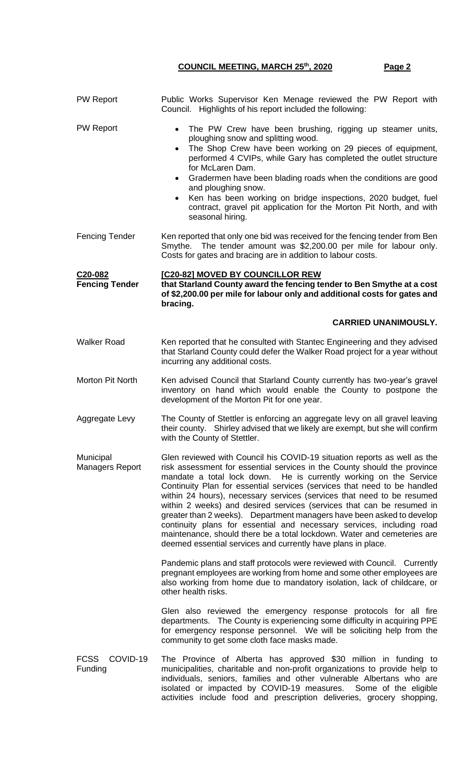## **COUNCIL MEETING, MARCH 25th, 2020 Page 2**

| <b>PW Report</b>                   | Public Works Supervisor Ken Menage reviewed the PW Report with<br>Council. Highlights of his report included the following:                                                                                                                                                                                                                                                                                                                                                                                                                                                                                                                                                                                                                           |
|------------------------------------|-------------------------------------------------------------------------------------------------------------------------------------------------------------------------------------------------------------------------------------------------------------------------------------------------------------------------------------------------------------------------------------------------------------------------------------------------------------------------------------------------------------------------------------------------------------------------------------------------------------------------------------------------------------------------------------------------------------------------------------------------------|
| <b>PW Report</b>                   | The PW Crew have been brushing, rigging up steamer units,<br>$\bullet$<br>ploughing snow and splitting wood.<br>The Shop Crew have been working on 29 pieces of equipment,<br>$\bullet$<br>performed 4 CVIPs, while Gary has completed the outlet structure<br>for McLaren Dam.<br>Gradermen have been blading roads when the conditions are good<br>and ploughing snow.<br>Ken has been working on bridge inspections, 2020 budget, fuel<br>$\bullet$<br>contract, gravel pit application for the Morton Pit North, and with<br>seasonal hiring.                                                                                                                                                                                                     |
| Fencing Tender                     | Ken reported that only one bid was received for the fencing tender from Ben<br>The tender amount was \$2,200.00 per mile for labour only.<br>Smythe.<br>Costs for gates and bracing are in addition to labour costs.                                                                                                                                                                                                                                                                                                                                                                                                                                                                                                                                  |
| C20-082<br><b>Fencing Tender</b>   | [C20-82] MOVED BY COUNCILLOR REW<br>that Starland County award the fencing tender to Ben Smythe at a cost<br>of \$2,200.00 per mile for labour only and additional costs for gates and<br>bracing.                                                                                                                                                                                                                                                                                                                                                                                                                                                                                                                                                    |
|                                    | <b>CARRIED UNANIMOUSLY.</b>                                                                                                                                                                                                                                                                                                                                                                                                                                                                                                                                                                                                                                                                                                                           |
| Walker Road                        | Ken reported that he consulted with Stantec Engineering and they advised<br>that Starland County could defer the Walker Road project for a year without<br>incurring any additional costs.                                                                                                                                                                                                                                                                                                                                                                                                                                                                                                                                                            |
| Morton Pit North                   | Ken advised Council that Starland County currently has two-year's gravel<br>inventory on hand which would enable the County to postpone the<br>development of the Morton Pit for one year.                                                                                                                                                                                                                                                                                                                                                                                                                                                                                                                                                            |
| Aggregate Levy                     | The County of Stettler is enforcing an aggregate levy on all gravel leaving<br>their county. Shirley advised that we likely are exempt, but she will confirm<br>with the County of Stettler.                                                                                                                                                                                                                                                                                                                                                                                                                                                                                                                                                          |
| Municipal<br>Managers Report       | Glen reviewed with Council his COVID-19 situation reports as well as the<br>risk assessment for essential services in the County should the province<br>mandate a total lock down. He is currently working on the Service<br>Continuity Plan for essential services (services that need to be handled<br>within 24 hours), necessary services (services that need to be resumed<br>within 2 weeks) and desired services (services that can be resumed in<br>greater than 2 weeks). Department managers have been asked to develop<br>continuity plans for essential and necessary services, including road<br>maintenance, should there be a total lockdown. Water and cemeteries are<br>deemed essential services and currently have plans in place. |
|                                    | Pandemic plans and staff protocols were reviewed with Council. Currently<br>pregnant employees are working from home and some other employees are<br>also working from home due to mandatory isolation, lack of childcare, or<br>other health risks.                                                                                                                                                                                                                                                                                                                                                                                                                                                                                                  |
|                                    | Glen also reviewed the emergency response protocols for all fire<br>departments. The County is experiencing some difficulty in acquiring PPE<br>for emergency response personnel. We will be soliciting help from the<br>community to get some cloth face masks made.                                                                                                                                                                                                                                                                                                                                                                                                                                                                                 |
| <b>FCSS</b><br>COVID-19<br>Funding | The Province of Alberta has approved \$30 million in funding to<br>municipalities, charitable and non-profit organizations to provide help to<br>individuals, seniors, families and other vulnerable Albertans who are<br>isolated or impacted by COVID-19 measures. Some of the eligible<br>activities include food and prescription deliveries, grocery shopping,                                                                                                                                                                                                                                                                                                                                                                                   |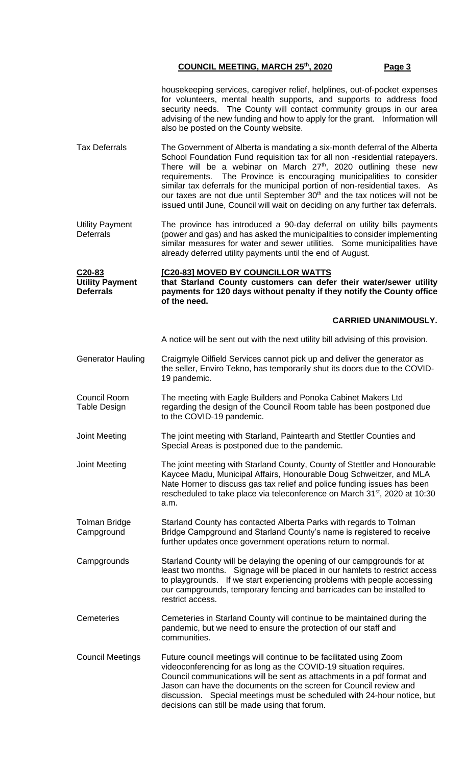## **COUNCIL MEETING, MARCH 25th, 2020 Page 3**

|                                                                   | housekeeping services, caregiver relief, helplines, out-of-pocket expenses<br>for volunteers, mental health supports, and supports to address food<br>security needs. The County will contact community groups in our area<br>advising of the new funding and how to apply for the grant. Information will<br>also be posted on the County website.                                                                                                                                                                                                                 |
|-------------------------------------------------------------------|---------------------------------------------------------------------------------------------------------------------------------------------------------------------------------------------------------------------------------------------------------------------------------------------------------------------------------------------------------------------------------------------------------------------------------------------------------------------------------------------------------------------------------------------------------------------|
| <b>Tax Deferrals</b>                                              | The Government of Alberta is mandating a six-month deferral of the Alberta<br>School Foundation Fund requisition tax for all non -residential ratepayers.<br>There will be a webinar on March $27th$ , 2020 outlining these new<br>requirements. The Province is encouraging municipalities to consider<br>similar tax deferrals for the municipal portion of non-residential taxes. As<br>our taxes are not due until September 30 <sup>th</sup> and the tax notices will not be<br>issued until June, Council will wait on deciding on any further tax deferrals. |
| <b>Utility Payment</b><br><b>Deferrals</b>                        | The province has introduced a 90-day deferral on utility bills payments<br>(power and gas) and has asked the municipalities to consider implementing<br>similar measures for water and sewer utilities. Some municipalities have<br>already deferred utility payments until the end of August.                                                                                                                                                                                                                                                                      |
| C <sub>20</sub> -83<br><b>Utility Payment</b><br><b>Deferrals</b> | <b>[C20-83] MOVED BY COUNCILLOR WATTS</b><br>that Starland County customers can defer their water/sewer utility<br>payments for 120 days without penalty if they notify the County office<br>of the need.                                                                                                                                                                                                                                                                                                                                                           |
|                                                                   | <b>CARRIED UNANIMOUSLY.</b>                                                                                                                                                                                                                                                                                                                                                                                                                                                                                                                                         |
|                                                                   | A notice will be sent out with the next utility bill advising of this provision.                                                                                                                                                                                                                                                                                                                                                                                                                                                                                    |
| Generator Hauling                                                 | Craigmyle Oilfield Services cannot pick up and deliver the generator as<br>the seller, Enviro Tekno, has temporarily shut its doors due to the COVID-<br>19 pandemic.                                                                                                                                                                                                                                                                                                                                                                                               |
| Council Room<br>Table Design                                      | The meeting with Eagle Builders and Ponoka Cabinet Makers Ltd<br>regarding the design of the Council Room table has been postponed due<br>to the COVID-19 pandemic.                                                                                                                                                                                                                                                                                                                                                                                                 |
| Joint Meeting                                                     | The joint meeting with Starland, Paintearth and Stettler Counties and<br>Special Areas is postponed due to the pandemic.                                                                                                                                                                                                                                                                                                                                                                                                                                            |
| Joint Meeting                                                     | The joint meeting with Starland County, County of Stettler and Honourable<br>Kaycee Madu, Municipal Affairs, Honourable Doug Schweitzer, and MLA<br>Nate Horner to discuss gas tax relief and police funding issues has been<br>rescheduled to take place via teleconference on March 31 <sup>st</sup> , 2020 at 10:30<br>a.m.                                                                                                                                                                                                                                      |
| Tolman Bridge<br>Campground                                       | Starland County has contacted Alberta Parks with regards to Tolman<br>Bridge Campground and Starland County's name is registered to receive<br>further updates once government operations return to normal.                                                                                                                                                                                                                                                                                                                                                         |
| Campgrounds                                                       | Starland County will be delaying the opening of our campgrounds for at<br>least two months. Signage will be placed in our hamlets to restrict access<br>to playgrounds. If we start experiencing problems with people accessing<br>our campgrounds, temporary fencing and barricades can be installed to<br>restrict access.                                                                                                                                                                                                                                        |
| Cemeteries                                                        | Cemeteries in Starland County will continue to be maintained during the<br>pandemic, but we need to ensure the protection of our staff and<br>communities.                                                                                                                                                                                                                                                                                                                                                                                                          |
| Council Meetings                                                  | Future council meetings will continue to be facilitated using Zoom<br>videoconferencing for as long as the COVID-19 situation requires.<br>Council communications will be sent as attachments in a pdf format and<br>Jason can have the documents on the screen for Council review and<br>discussion. Special meetings must be scheduled with 24-hour notice, but<br>decisions can still be made using that forum.                                                                                                                                                  |